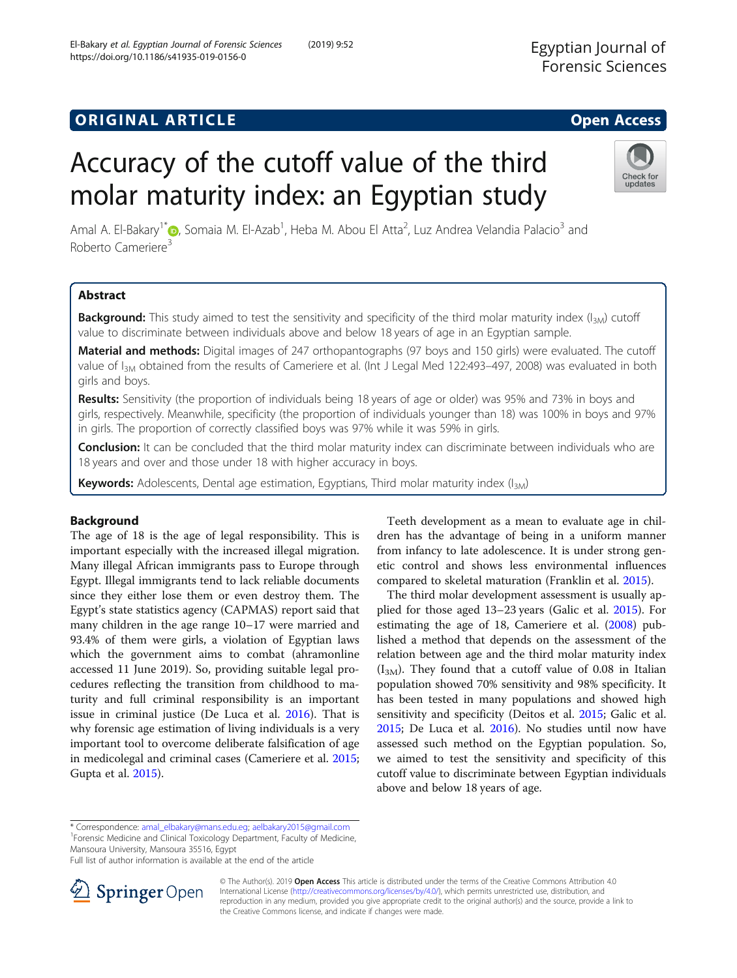# ORIGINAL ARTICLE CONSUMING A LOCAL CORPORANCE CONSUMING A LOCAL CONSUMING A LOCAL CONSUMING A LOCAL CONSUMING A LOCAL CONSUMING A LOCAL CONSUMING A LOCAL CONSUMING A LOCAL CONSUMING A LOCAL CONSUMING A LOCAL CONSUMING A LO

https://doi.org/10.1186/s41935-019-0156-0

# Accuracy of the cutoff value of the third molar maturity index: an Egyptian study

Amal A. El-Bakary<sup>1\*</sup>®, Somaia M. El-Azab<sup>1</sup>, Heba M. Abou El Atta<sup>2</sup>, Luz Andrea Velandia Palacio<sup>3</sup> and Roberto Cameriere<sup>3</sup>

# Abstract

**Background:** This study aimed to test the sensitivity and specificity of the third molar maturity index  $(I_{3M})$  cutoff value to discriminate between individuals above and below 18 years of age in an Egyptian sample.

Material and methods: Digital images of 247 orthopantographs (97 boys and 150 girls) were evaluated. The cutoff value of I<sub>3M</sub> obtained from the results of Cameriere et al. (Int J Legal Med 122:493-497, 2008) was evaluated in both girls and boys.

Results: Sensitivity (the proportion of individuals being 18 years of age or older) was 95% and 73% in boys and girls, respectively. Meanwhile, specificity (the proportion of individuals younger than 18) was 100% in boys and 97% in girls. The proportion of correctly classified boys was 97% while it was 59% in girls.

Conclusion: It can be concluded that the third molar maturity index can discriminate between individuals who are 18 years and over and those under 18 with higher accuracy in boys.

Keywords: Adolescents, Dental age estimation, Egyptians, Third molar maturity index (I<sub>3M</sub>)

# Background

The age of 18 is the age of legal responsibility. This is important especially with the increased illegal migration. Many illegal African immigrants pass to Europe through Egypt. Illegal immigrants tend to lack reliable documents since they either lose them or even destroy them. The Egypt's state statistics agency (CAPMAS) report said that many children in the age range 10–17 were married and 93.4% of them were girls, a violation of Egyptian laws which the government aims to combat (ahramonline accessed 11 June 2019). So, providing suitable legal procedures reflecting the transition from childhood to maturity and full criminal responsibility is an important issue in criminal justice (De Luca et al. [2016\)](#page-4-0). That is why forensic age estimation of living individuals is a very important tool to overcome deliberate falsification of age in medicolegal and criminal cases (Cameriere et al. [2015](#page-3-0); Gupta et al. [2015](#page-4-0)).

Teeth development as a mean to evaluate age in children has the advantage of being in a uniform manner from infancy to late adolescence. It is under strong genetic control and shows less environmental influences compared to skeletal maturation (Franklin et al. [2015](#page-4-0)).

The third molar development assessment is usually applied for those aged 13–23 years (Galic et al. [2015\)](#page-4-0). For estimating the age of 18, Cameriere et al. ([2008\)](#page-3-0) published a method that depends on the assessment of the relation between age and the third molar maturity index  $(I<sub>3M</sub>)$ . They found that a cutoff value of 0.08 in Italian population showed 70% sensitivity and 98% specificity. It has been tested in many populations and showed high sensitivity and specificity (Deitos et al. [2015;](#page-4-0) Galic et al. [2015](#page-4-0); De Luca et al. [2016\)](#page-4-0). No studies until now have assessed such method on the Egyptian population. So, we aimed to test the sensitivity and specificity of this cutoff value to discriminate between Egyptian individuals above and below 18 years of age.

\* Correspondence: [amal\\_elbakary@mans.edu.eg;](mailto:amal_elbakary@mans.edu.eg) [aelbakary2015@gmail.com](mailto:aelbakary2015@gmail.com) <sup>1</sup>

Forensic Medicine and Clinical Toxicology Department, Faculty of Medicine, Mansoura University, Mansoura 35516, Egypt





© The Author(s). 2019 Open Access This article is distributed under the terms of the Creative Commons Attribution 4.0 International License ([http://creativecommons.org/licenses/by/4.0/\)](http://creativecommons.org/licenses/by/4.0/), which permits unrestricted use, distribution, and reproduction in any medium, provided you give appropriate credit to the original author(s) and the source, provide a link to the Creative Commons license, and indicate if changes were made.



updates

Full list of author information is available at the end of the article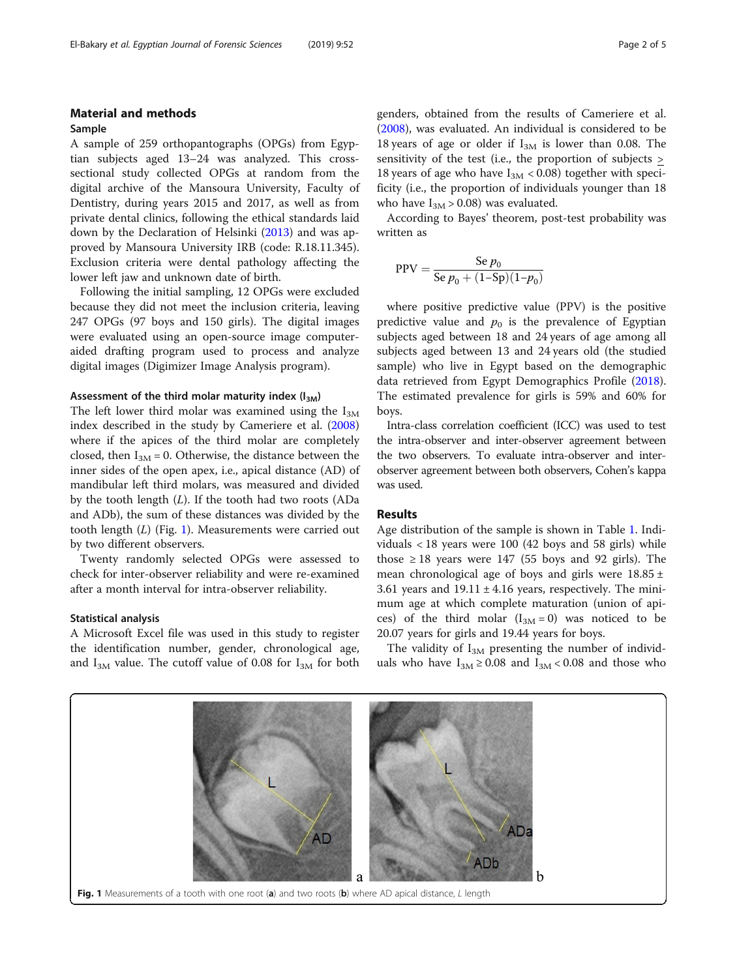# Material and methods

#### Sample

A sample of 259 orthopantographs (OPGs) from Egyptian subjects aged 13–24 was analyzed. This crosssectional study collected OPGs at random from the digital archive of the Mansoura University, Faculty of Dentistry, during years 2015 and 2017, as well as from private dental clinics, following the ethical standards laid down by the Declaration of Helsinki [\(2013\)](#page-3-0) and was approved by Mansoura University IRB (code: R.18.11.345). Exclusion criteria were dental pathology affecting the lower left jaw and unknown date of birth.

Following the initial sampling, 12 OPGs were excluded because they did not meet the inclusion criteria, leaving 247 OPGs (97 boys and 150 girls). The digital images were evaluated using an open-source image computeraided drafting program used to process and analyze digital images (Digimizer Image Analysis program).

## Assessment of the third molar maturity index  $(I_{3M})$

The left lower third molar was examined using the  $I_{3M}$ index described in the study by Cameriere et al. ([2008](#page-3-0)) where if the apices of the third molar are completely closed, then  $I_{3M}$  = 0. Otherwise, the distance between the inner sides of the open apex, i.e., apical distance (AD) of mandibular left third molars, was measured and divided by the tooth length (L). If the tooth had two roots (ADa and ADb), the sum of these distances was divided by the tooth length  $(L)$  (Fig. 1). Measurements were carried out by two different observers.

Twenty randomly selected OPGs were assessed to check for inter-observer reliability and were re-examined after a month interval for intra-observer reliability.

#### Statistical analysis

A Microsoft Excel file was used in this study to register the identification number, gender, chronological age, and  $I_{3M}$  value. The cutoff value of 0.08 for  $I_{3M}$  for both genders, obtained from the results of Cameriere et al. ([2008\)](#page-3-0), was evaluated. An individual is considered to be 18 years of age or older if  $I_{3M}$  is lower than 0.08. The sensitivity of the test (i.e., the proportion of subjects > 18 years of age who have  $I_{3M}$  < 0.08) together with specificity (i.e., the proportion of individuals younger than 18 who have  $I_{3M} > 0.08$ ) was evaluated.

According to Bayes' theorem, post-test probability was written as

$$
PPV = \frac{Se p_0}{Se p_0 + (1-Sp)(1-p_0)}
$$

where positive predictive value (PPV) is the positive predictive value and  $p_0$  is the prevalence of Egyptian subjects aged between 18 and 24 years of age among all subjects aged between 13 and 24 years old (the studied sample) who live in Egypt based on the demographic data retrieved from Egypt Demographics Profile ([2018](#page-4-0)). The estimated prevalence for girls is 59% and 60% for boys.

Intra-class correlation coefficient (ICC) was used to test the intra-observer and inter-observer agreement between the two observers. To evaluate intra-observer and interobserver agreement between both observers, Cohen's kappa was used.

# Results

Age distribution of the sample is shown in Table [1](#page-2-0). Individuals < 18 years were 100 (42 boys and 58 girls) while those  $\geq 18$  years were 147 (55 boys and 92 girls). The mean chronological age of boys and girls were  $18.85 \pm$ 3.61 years and  $19.11 \pm 4.16$  years, respectively. The minimum age at which complete maturation (union of apices) of the third molar  $(I_{3M} = 0)$  was noticed to be 20.07 years for girls and 19.44 years for boys.

The validity of  $I_{3M}$  presenting the number of individuals who have  $I_{3M} \geq 0.08$  and  $I_{3M} < 0.08$  and those who

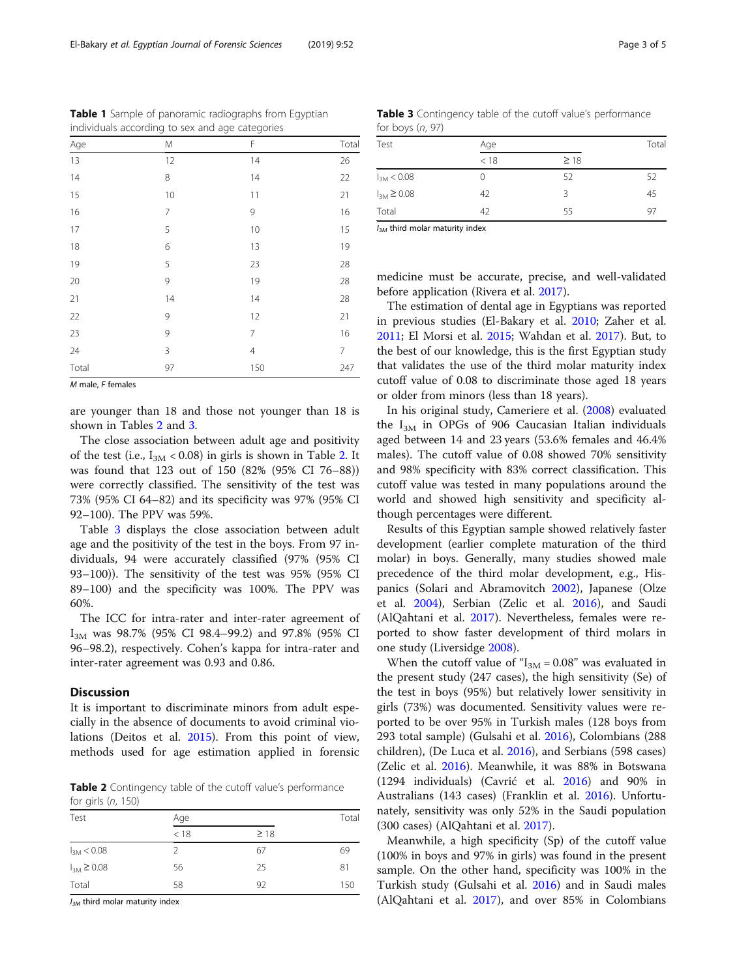<span id="page-2-0"></span>Table 1 Sample of panoramic radiographs from Egyptian individuals according to sex and age categories

| Age                  | M              | F              | Total          |
|----------------------|----------------|----------------|----------------|
| 13                   | 12             | 14             | 26             |
| 14                   | 8              | 14             | 22             |
| 15                   | 10             | 11             | 21             |
| 16                   | $\overline{7}$ | 9              | 16             |
| 17                   | 5              | 10             | 15             |
| 18                   | 6              | 13             | 19             |
| 19                   | 5              | 23             | 28             |
| 20                   | 9              | 19             | 28             |
| 21                   | 14             | 14             | 28             |
| 22                   | 9              | 12             | 21             |
| 23                   | 9              | 7              | 16             |
| 24                   | 3              | $\overline{4}$ | $\overline{7}$ |
| Total<br>.<br>$\sim$ | 97             | 150            | 247            |

M male, F females

are younger than 18 and those not younger than 18 is shown in Tables 2 and 3.

The close association between adult age and positivity of the test (i.e.,  $I_{3M}$  < 0.08) in girls is shown in Table 2. It was found that 123 out of 150 (82% (95% CI 76–88)) were correctly classified. The sensitivity of the test was 73% (95% CI 64–82) and its specificity was 97% (95% CI 92–100). The PPV was 59%.

Table 3 displays the close association between adult age and the positivity of the test in the boys. From 97 individuals, 94 were accurately classified (97% (95% CI 93–100)). The sensitivity of the test was 95% (95% CI 89–100) and the specificity was 100%. The PPV was 60%.

The ICC for intra-rater and inter-rater agreement of I<sub>3M</sub> was 98.7% (95% CI 98.4–99.2) and 97.8% (95% CI 96–98.2), respectively. Cohen's kappa for intra-rater and inter-rater agreement was 0.93 and 0.86.

# **Discussion**

It is important to discriminate minors from adult especially in the absence of documents to avoid criminal violations (Deitos et al. [2015](#page-4-0)). From this point of view, methods used for age estimation applied in forensic

Table 2 Contingency table of the cutoff value's performance for girls (n, 150)

| Test              | Age  |           |     |
|-------------------|------|-----------|-----|
|                   | < 18 | $\geq$ 18 |     |
| $I_{3M}$ < 0.08   | 2    | 67        | 69  |
| $I_{3M} \ge 0.08$ | 56   | 25        | 81  |
| Total             | 58   | 92        | 150 |

 $I_{3M}$  third molar maturity index

Table 3 Contingency table of the cutoff value's performance for boys (n, 97)

| Test              | Age  |           |    |
|-------------------|------|-----------|----|
|                   | < 18 | $\geq$ 18 |    |
| $I_{3M}$ < 0.08   | O    | 52        | 52 |
| $I_{3M} \ge 0.08$ | 42   | Κ         | 45 |
| Total             | 42   | 55        | 97 |

 $I_{3M}$  third molar maturity index

medicine must be accurate, precise, and well-validated before application (Rivera et al. [2017](#page-4-0)).

The estimation of dental age in Egyptians was reported in previous studies (El-Bakary et al. [2010;](#page-4-0) Zaher et al. [2011](#page-4-0); El Morsi et al. [2015](#page-4-0); Wahdan et al. [2017](#page-4-0)). But, to the best of our knowledge, this is the first Egyptian study that validates the use of the third molar maturity index cutoff value of 0.08 to discriminate those aged 18 years or older from minors (less than 18 years).

In his original study, Cameriere et al. [\(2008\)](#page-3-0) evaluated the  $I_{3M}$  in OPGs of 906 Caucasian Italian individuals aged between 14 and 23 years (53.6% females and 46.4% males). The cutoff value of 0.08 showed 70% sensitivity and 98% specificity with 83% correct classification. This cutoff value was tested in many populations around the world and showed high sensitivity and specificity although percentages were different.

Results of this Egyptian sample showed relatively faster development (earlier complete maturation of the third molar) in boys. Generally, many studies showed male precedence of the third molar development, e.g., Hispanics (Solari and Abramovitch [2002\)](#page-4-0), Japanese (Olze et al. [2004](#page-4-0)), Serbian (Zelic et al. [2016\)](#page-4-0), and Saudi (AlQahtani et al. [2017\)](#page-3-0). Nevertheless, females were reported to show faster development of third molars in one study (Liversidge [2008](#page-4-0)).

When the cutoff value of " $I_{3M}$  = 0.08" was evaluated in the present study (247 cases), the high sensitivity (Se) of the test in boys (95%) but relatively lower sensitivity in girls (73%) was documented. Sensitivity values were reported to be over 95% in Turkish males (128 boys from 293 total sample) (Gulsahi et al. [2016\)](#page-4-0), Colombians (288 children), (De Luca et al. [2016\)](#page-4-0), and Serbians (598 cases) (Zelic et al. [2016\)](#page-4-0). Meanwhile, it was 88% in Botswana (1294 individuals) (Cavrić et al. [2016\)](#page-3-0) and 90% in Australians (143 cases) (Franklin et al. [2016\)](#page-4-0). Unfortunately, sensitivity was only 52% in the Saudi population (300 cases) (AlQahtani et al. [2017](#page-3-0)).

Meanwhile, a high specificity (Sp) of the cutoff value (100% in boys and 97% in girls) was found in the present sample. On the other hand, specificity was 100% in the Turkish study (Gulsahi et al. [2016](#page-4-0)) and in Saudi males (AlQahtani et al. [2017\)](#page-3-0), and over 85% in Colombians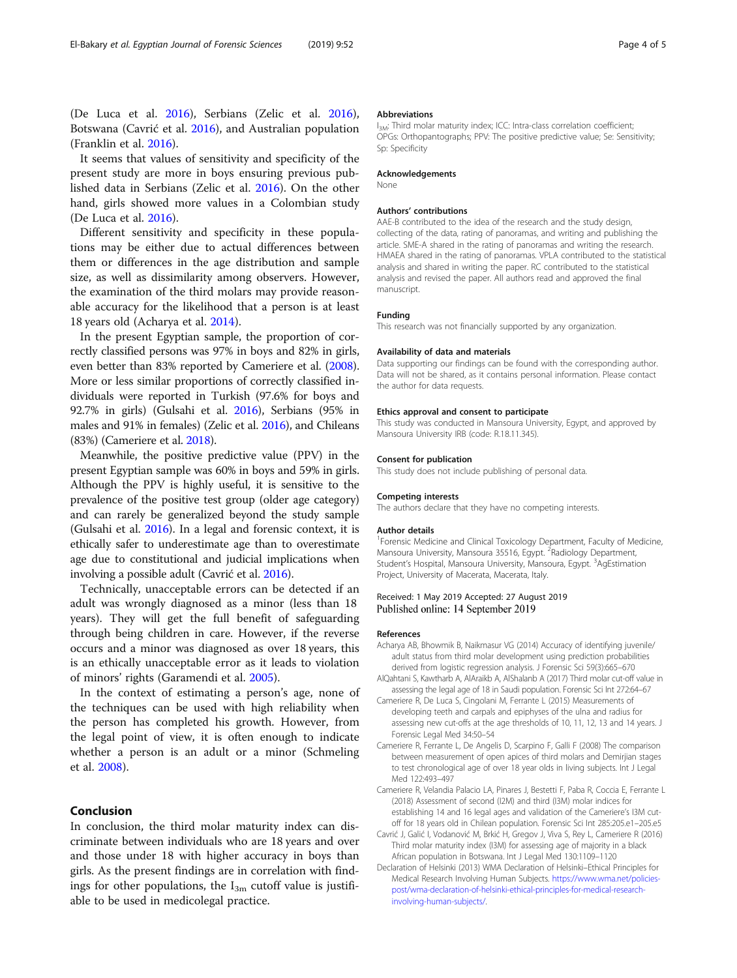<span id="page-3-0"></span>(De Luca et al. [2016](#page-4-0)), Serbians (Zelic et al. [2016](#page-4-0)), Botswana (Cavrić et al. 2016), and Australian population (Franklin et al. [2016](#page-4-0)).

It seems that values of sensitivity and specificity of the present study are more in boys ensuring previous published data in Serbians (Zelic et al. [2016](#page-4-0)). On the other hand, girls showed more values in a Colombian study (De Luca et al. [2016](#page-4-0)).

Different sensitivity and specificity in these populations may be either due to actual differences between them or differences in the age distribution and sample size, as well as dissimilarity among observers. However, the examination of the third molars may provide reasonable accuracy for the likelihood that a person is at least 18 years old (Acharya et al. 2014).

In the present Egyptian sample, the proportion of correctly classified persons was 97% in boys and 82% in girls, even better than 83% reported by Cameriere et al. (2008). More or less similar proportions of correctly classified individuals were reported in Turkish (97.6% for boys and 92.7% in girls) (Gulsahi et al. [2016\)](#page-4-0), Serbians (95% in males and 91% in females) (Zelic et al. [2016\)](#page-4-0), and Chileans (83%) (Cameriere et al. 2018).

Meanwhile, the positive predictive value (PPV) in the present Egyptian sample was 60% in boys and 59% in girls. Although the PPV is highly useful, it is sensitive to the prevalence of the positive test group (older age category) and can rarely be generalized beyond the study sample (Gulsahi et al. [2016](#page-4-0)). In a legal and forensic context, it is ethically safer to underestimate age than to overestimate age due to constitutional and judicial implications when involving a possible adult (Cavrić et al. 2016).

Technically, unacceptable errors can be detected if an adult was wrongly diagnosed as a minor (less than 18 years). They will get the full benefit of safeguarding through being children in care. However, if the reverse occurs and a minor was diagnosed as over 18 years, this is an ethically unacceptable error as it leads to violation of minors' rights (Garamendi et al. [2005](#page-4-0)).

In the context of estimating a person's age, none of the techniques can be used with high reliability when the person has completed his growth. However, from the legal point of view, it is often enough to indicate whether a person is an adult or a minor (Schmeling et al. [2008\)](#page-4-0).

# Conclusion

In conclusion, the third molar maturity index can discriminate between individuals who are 18 years and over and those under 18 with higher accuracy in boys than girls. As the present findings are in correlation with findings for other populations, the  $I_{3m}$  cutoff value is justifiable to be used in medicolegal practice.

#### Abbreviations

I<sub>3M</sub>: Third molar maturity index; ICC: Intra-class correlation coefficient; OPGs: Orthopantographs; PPV: The positive predictive value; Se: Sensitivity; Sp: Specificity

## Acknowledgements

None

#### Authors' contributions

AAE-B contributed to the idea of the research and the study design. collecting of the data, rating of panoramas, and writing and publishing the article. SME-A shared in the rating of panoramas and writing the research. HMAEA shared in the rating of panoramas. VPLA contributed to the statistical analysis and shared in writing the paper. RC contributed to the statistical analysis and revised the paper. All authors read and approved the final manuscript.

#### Funding

This research was not financially supported by any organization.

#### Availability of data and materials

Data supporting our findings can be found with the corresponding author. Data will not be shared, as it contains personal information. Please contact the author for data requests.

#### Ethics approval and consent to participate

This study was conducted in Mansoura University, Egypt, and approved by Mansoura University IRB (code: R.18.11.345).

#### Consent for publication

This study does not include publishing of personal data.

#### Competing interests

The authors declare that they have no competing interests.

#### Author details

<sup>1</sup> Forensic Medicine and Clinical Toxicology Department, Faculty of Medicine Mansoura University, Mansoura 35516, Egypt. <sup>2</sup>Radiology Department, Student's Hospital, Mansoura University, Mansoura, Egypt. <sup>3</sup>AgEstimation Project, University of Macerata, Macerata, Italy.

#### Received: 1 May 2019 Accepted: 27 August 2019 Published online: 14 September 2019

#### References

- Acharya AB, Bhowmik B, Naikmasur VG (2014) Accuracy of identifying juvenile/ adult status from third molar development using prediction probabilities derived from logistic regression analysis. J Forensic Sci 59(3):665–670
- AlQahtani S, Kawtharb A, AlAraikb A, AlShalanb A (2017) Third molar cut-off value in assessing the legal age of 18 in Saudi population. Forensic Sci Int 272:64–67
- Cameriere R, De Luca S, Cingolani M, Ferrante L (2015) Measurements of developing teeth and carpals and epiphyses of the ulna and radius for assessing new cut-offs at the age thresholds of 10, 11, 12, 13 and 14 years. J Forensic Legal Med 34:50–54
- Cameriere R, Ferrante L, De Angelis D, Scarpino F, Galli F (2008) The comparison between measurement of open apices of third molars and Demirjian stages to test chronological age of over 18 year olds in living subjects. Int J Legal Med 122:493–497
- Cameriere R, Velandia Palacio LA, Pinares J, Bestetti F, Paba R, Coccia E, Ferrante L (2018) Assessment of second (I2M) and third (I3M) molar indices for establishing 14 and 16 legal ages and validation of the Cameriere's I3M cutoff for 18 years old in Chilean population. Forensic Sci Int 285:205.e1–205.e5
- Cavrić J, Galić I, Vodanović M, Brkić H, Gregov J, Viva S, Rey L, Cameriere R (2016) Third molar maturity index (I3M) for assessing age of majority in a black African population in Botswana. Int J Legal Med 130:1109–1120
- Declaration of Helsinki (2013) WMA Declaration of Helsinki–Ethical Principles for Medical Research Involving Human Subjects. [https://www.wma.net/policies](https://www.wma.net/policies-post/wma-declaration-of-helsinki-ethical-principles-for-medical-research-involving-human-subjects/)[post/wma-declaration-of-helsinki-ethical-principles-for-medical-research](https://www.wma.net/policies-post/wma-declaration-of-helsinki-ethical-principles-for-medical-research-involving-human-subjects/)[involving-human-subjects/.](https://www.wma.net/policies-post/wma-declaration-of-helsinki-ethical-principles-for-medical-research-involving-human-subjects/)